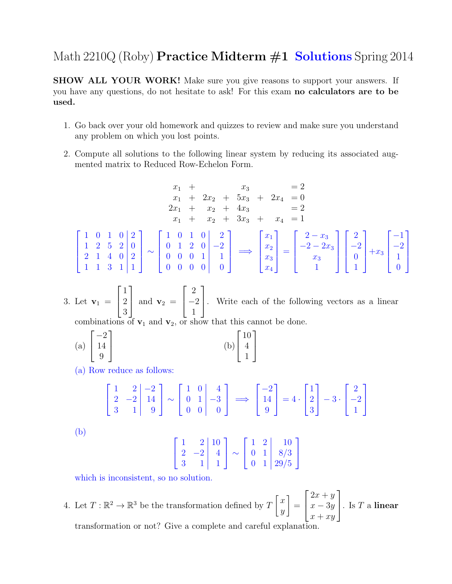## Math  $2210Q$  (Roby) **Practice Midterm**  $\#1$  **Solutions** Spring 2014

SHOW ALL YOUR WORK! Make sure you give reasons to support your answers. If you have any questions, do not hesitate to ask! For this exam no calculators are to be used.

- 1. Go back over your old homework and quizzes to review and make sure you understand any problem on which you lost points.
- 2. Compute all solutions to the following linear system by reducing its associated augmented matrix to Reduced Row-Echelon Form.

$$
x_1 + x_3 = 2
$$
  
\n
$$
x_1 + 2x_2 + 5x_3 + 2x_4 = 0
$$
  
\n
$$
2x_1 + x_2 + 4x_3 = 2
$$
  
\n
$$
x_1 + x_2 + 3x_3 + x_4 = 1
$$
  
\n
$$
\begin{bmatrix} 1 & 0 & 1 & 0 & 0 & 0 \\ 1 & 2 & 5 & 2 & 0 & 0 \\ 2 & 1 & 4 & 0 & 2 & 0 \\ 2 & 1 & 1 & 3 & 1 & 1 \end{bmatrix} \sim \begin{bmatrix} 1 & 0 & 1 & 0 & 0 & 2 \\ 0 & 1 & 2 & 0 & -2 \\ 0 & 0 & 0 & 1 & 1 \\ 0 & 0 & 0 & 0 & 0 \end{bmatrix} \Longrightarrow \begin{bmatrix} x_1 \\ x_2 \\ x_3 \\ x_4 \end{bmatrix} = \begin{bmatrix} 2 - x_3 \\ -2 - 2x_3 \\ x_3 \\ 1 \end{bmatrix} \begin{bmatrix} 2 \\ -2 \\ 0 \\ 1 \end{bmatrix} + x_3 \begin{bmatrix} -1 \\ -2 \\ 1 \\ 0 \end{bmatrix}
$$

3. Let  $v_1 =$  $\lceil$  $\overline{1}$ 1 2 3 1 | and  $\mathbf{v}_2$  =  $\sqrt{ }$  $\overline{1}$ 2 −2 1 1 . Write each of the following vectors as a linear combinations of  $v_1$  and  $v_2$ , or show that this cannot be done.

1

(a) 
$$
\begin{bmatrix} -2 \\ 14 \\ 9 \end{bmatrix}
$$
 (b) 
$$
\begin{bmatrix} 10 \\ 4 \\ 1 \end{bmatrix}
$$

(a) Row reduce as follows:

$$
\begin{bmatrix} 1 & 2 & -2 \ 2 & -2 & 14 \ 3 & 1 & 9 \end{bmatrix} \sim \begin{bmatrix} 1 & 0 & 4 \ 0 & 1 & -3 \ 0 & 0 & 0 \end{bmatrix} \implies \begin{bmatrix} -2 \ 14 \ 9 \end{bmatrix} = 4 \cdot \begin{bmatrix} 1 \ 2 \ 3 \end{bmatrix} - 3 \cdot \begin{bmatrix} 2 \ -2 \ 1 \end{bmatrix}
$$

(b)

$$
\begin{bmatrix} 1 & 2 & 10 \\ 2 & -2 & 4 \\ 3 & 1 & 1 \end{bmatrix} \sim \begin{bmatrix} 1 & 2 & 10 \\ 0 & 1 & 8/3 \\ 0 & 1 & 29/5 \end{bmatrix}
$$

which is inconsistent, so no solution.

4. Let  $T: \mathbb{R}^2 \to \mathbb{R}^3$  be the transformation defined by  $T\begin{bmatrix} x \\ y \end{bmatrix}$  $\hat{y}$ 1 =  $\sqrt{ }$  $\vert$  $2x + y$  $x - 3y$  $x + xy$ 1  $\Big\vert \cdot \ \mathrm{Is} \ T \ \mathrm{a} \ \mathrm{linear}$ transformation or not? Give a complete and careful explanation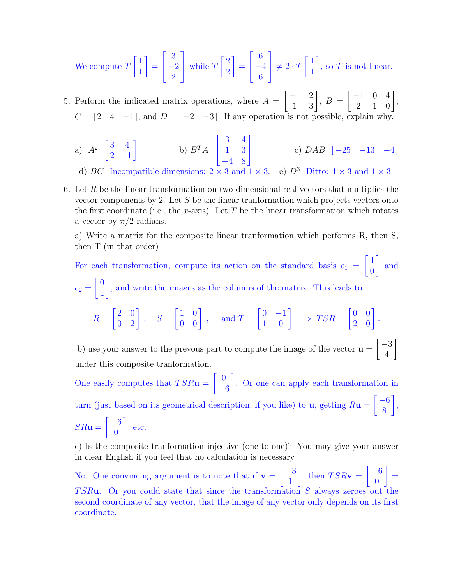We compute 
$$
T\begin{bmatrix} 1 \\ 1 \end{bmatrix} = \begin{bmatrix} 3 \\ -2 \\ 2 \end{bmatrix}
$$
 while  $T\begin{bmatrix} 2 \\ 2 \end{bmatrix} = \begin{bmatrix} 6 \\ -4 \\ 6 \end{bmatrix} \neq 2 \cdot T\begin{bmatrix} 1 \\ 1 \end{bmatrix}$ , so T is not linear.

5. Perform the indicated matrix operations, where  $A =$  $\begin{bmatrix} -1 & 2 \\ 1 & 3 \end{bmatrix}$ ,  $B =$  $\begin{bmatrix} -1 & 0 & 4 \\ 2 & 1 & 0 \end{bmatrix}$  $C = \begin{bmatrix} 2 & 4 & -1 \end{bmatrix}$ , and  $D = \begin{bmatrix} -2 & -3 \end{bmatrix}$ . If any operation is not possible, explain why.

a) 
$$
A^2 \begin{bmatrix} 3 & 4 \\ 2 & 11 \end{bmatrix}
$$
 b)  $B^T A \begin{bmatrix} 3 & 4 \\ 1 & 3 \\ -4 & 8 \end{bmatrix}$  c)  $DAB \begin{bmatrix} -25 & -13 & -4 \end{bmatrix}$ 

d) BC Incompatible dimensions:  $2 \times 3$  and  $1 \times 3$ . e)  $D^3$  Ditto:  $1 \times 3$  and  $1 \times 3$ .

6. Let  $R$  be the linear transformation on two-dimensional real vectors that multiplies the vector components by 2. Let S be the linear tranformation which projects vectors onto the first coordinate (i.e., the x-axis). Let  $T$  be the linear transformation which rotates a vector by  $\pi/2$  radians.

a) Write a matrix for the composite linear tranformation which performs R, then S, then T (in that order)

For each transformation, compute its action on the standard basis  $e_1$  =  $\lceil 1 \rceil$ 0 1 and  $e_2 =$  $\lceil 0$ 1 1 , and write the images as the columns of the matrix. This leads to

$$
R = \begin{bmatrix} 2 & 0 \\ 0 & 2 \end{bmatrix}, \quad S = \begin{bmatrix} 1 & 0 \\ 0 & 0 \end{bmatrix}, \quad \text{ and } T = \begin{bmatrix} 0 & -1 \\ 1 & 0 \end{bmatrix} \implies TSR = \begin{bmatrix} 0 & 0 \\ 2 & 0 \end{bmatrix}.
$$

b) use your answer to the prevous part to compute the image of the vector  $\mathbf{u} =$  $\lceil -3 \rceil$ 4 1 under this composite tranformation.

One easily computes that  $TSR**u**$  =  $\begin{bmatrix} 0 \end{bmatrix}$ −6 1 . Or one can apply each transformation in turn (just based on its geometrical description, if you like) to  $\mathbf{u}$ , getting  $R\mathbf{u} =$  $\lceil -6 \rceil$ 8 1 ,  $SR$ **u** =  $\lceil -6 \rceil$ 0 1 , etc.

c) Is the composite tranformation injective (one-to-one)? You may give your answer in clear English if you feel that no calculation is necessary.

No. One convincing argument is to note that if  $v =$  $\lceil -3 \rceil$ 1 1 , then  $TSR**v** =$  $\lceil -6 \rceil$ 0 1 = TSRu. Or you could state that since the transformation  $S$  always zeroes out the second coordinate of any vector, that the image of any vector only depends on its first coordinate.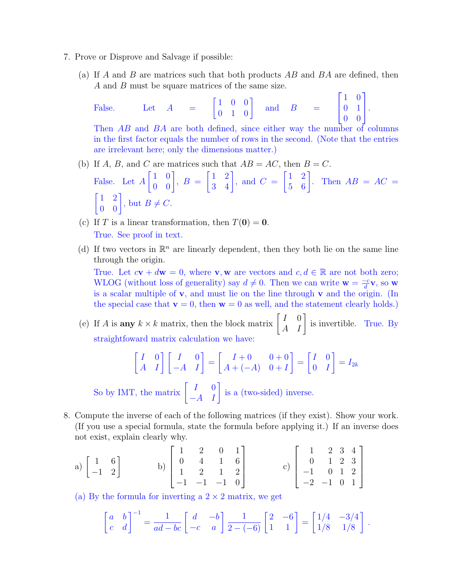- 7. Prove or Disprove and Salvage if possible:
	- (a) If A and B are matrices such that both products  $AB$  and  $BA$  are defined, then A and B must be square matrices of the same size.

False. Let 
$$
A = \begin{bmatrix} 1 & 0 & 0 \\ 0 & 1 & 0 \end{bmatrix}
$$
 and  $B = \begin{bmatrix} 1 & 0 \\ 0 & 1 \\ 0 & 0 \end{bmatrix}$ .  
Then  $AB$  and  $BA$  are both defined, since either are the number of

Then AB and BA are both defined, since either way the number of columns in the first factor equals the number of rows in the second. (Note that the entries are irrelevant here; only the dimensions matter.)

- (b) If A, B, and C are matrices such that  $AB = AC$ , then  $B = C$ . False. Let A  $\begin{bmatrix} 1 & 0 \\ 0 & 0 \end{bmatrix}$ ,  $B =$  $\begin{bmatrix} 1 & 2 \\ 3 & 4 \end{bmatrix}$ , and  $C =$  $\begin{bmatrix} 1 & 2 \\ 5 & 6 \end{bmatrix}$ . Then  $AB = AC =$  $\begin{bmatrix} 1 & 2 \\ 0 & 0 \end{bmatrix}$ , but  $B \neq C$ .
- (c) If T is a linear transformation, then  $T(\mathbf{0}) = \mathbf{0}$ . True. See proof in text.
- (d) If two vectors in  $\mathbb{R}^n$  are linearly dependent, then they both lie on the same line through the origin.

True. Let  $c\mathbf{v} + d\mathbf{w} = 0$ , where **v**, **w** are vectors and  $c, d \in \mathbb{R}$  are not both zero; WLOG (without loss of generality) say  $d \neq 0$ . Then we can write  $\mathbf{w} = \frac{-c}{d}$  $\frac{-c}{d}$ **v**, so **w** is a scalar multiple of  $v$ , and must lie on the line through  $v$  and the origin. (In the special case that  $\mathbf{v} = 0$ , then  $\mathbf{w} = 0$  as well, and the statement clearly holds.)

(e) If A is **any**  $k \times k$  matrix, then the block matrix  $\begin{bmatrix} I & 0 \\ A & I \end{bmatrix}$  is invertible. True. By straightfoward matrix calculation we have:

$$
\begin{bmatrix} I & 0 \ A & I \end{bmatrix} \begin{bmatrix} I & 0 \ -A & I \end{bmatrix} = \begin{bmatrix} I+0 & 0+0 \ A+(-A) & 0+I \end{bmatrix} = \begin{bmatrix} I & 0 \ 0 & I \end{bmatrix} = I_{2k}
$$
  
MT, the matrix  $\begin{bmatrix} I & 0 \ 0 & 0 \end{bmatrix}$  is a (two-sided) inverse.

- So by IMT, the matrix  $\begin{bmatrix} I & 0 \\ -A & I \end{bmatrix}$  is a (two-sided) inverse.
- 8. Compute the inverse of each of the following matrices (if they exist). Show your work. (If you use a special formula, state the formula before applying it.) If an inverse does not exist, explain clearly why.

a) 
$$
\begin{bmatrix} 1 & 6 \\ -1 & 2 \end{bmatrix}
$$
 b)  $\begin{bmatrix} 1 & 2 & 0 & 1 \\ 0 & 4 & 1 & 6 \\ 1 & 2 & 1 & 2 \\ -1 & -1 & -1 & 0 \end{bmatrix}$  c)  $\begin{bmatrix} 1 & 2 & 3 & 4 \\ 0 & 1 & 2 & 3 \\ -1 & 0 & 1 & 2 \\ -2 & -1 & 0 & 1 \end{bmatrix}$ 

(a) By the formula for inverting a  $2 \times 2$  matrix, we get

$$
\begin{bmatrix} a & b \\ c & d \end{bmatrix}^{-1} = \frac{1}{ad - bc} \begin{bmatrix} d & -b \\ -c & a \end{bmatrix} \frac{1}{2 - (-6)} \begin{bmatrix} 2 & -6 \\ 1 & 1 \end{bmatrix} = \begin{bmatrix} 1/4 & -3/4 \\ 1/8 & 1/8 \end{bmatrix}.
$$